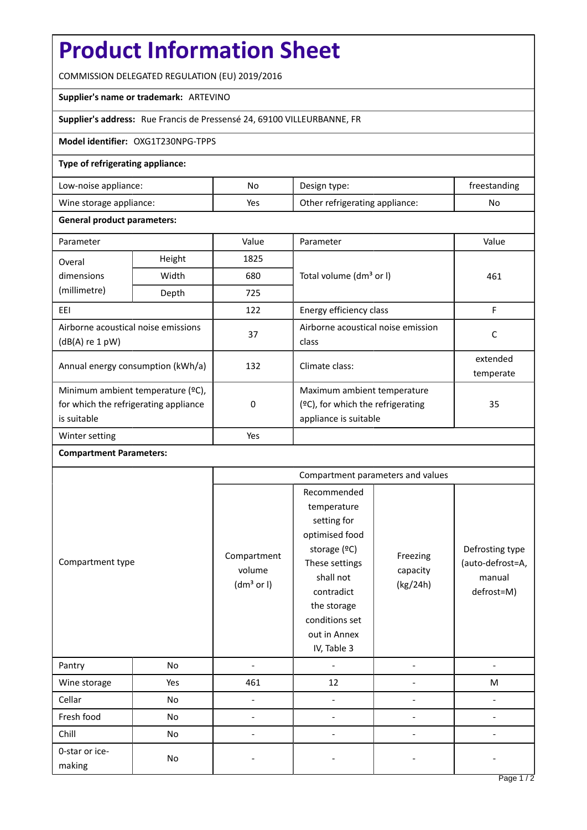# **Product Information Sheet**

COMMISSION DELEGATED REGULATION (EU) 2019/2016

## **Supplier's name or trademark:** ARTEVINO

## **Supplier's address:** Rue Francis de Pressensé 24, 69100 VILLEURBANNE, FR

### **Model identifier:** OXG1T230NPG-TPPS

### **Type of refrigerating appliance:**

| Low-noise appliance:    | No  | Design type:                   | freestanding |
|-------------------------|-----|--------------------------------|--------------|
| Wine storage appliance: | Yes | Other refrigerating appliance: | No           |

#### **General product parameters:**

| Parameter                                                                                 |        | Value | Parameter                                                                                    | Value                 |
|-------------------------------------------------------------------------------------------|--------|-------|----------------------------------------------------------------------------------------------|-----------------------|
| Overal                                                                                    | Height | 1825  |                                                                                              | 461                   |
| dimensions<br>(millimetre)                                                                | Width  | 680   | Total volume (dm <sup>3</sup> or I)                                                          |                       |
|                                                                                           | Depth  | 725   |                                                                                              |                       |
| EEI                                                                                       |        | 122   | Energy efficiency class                                                                      | F                     |
| Airborne acoustical noise emissions<br>$(dB(A)$ re 1 pW)                                  |        | 37    | Airborne acoustical noise emission<br>class                                                  | C                     |
| Annual energy consumption (kWh/a)                                                         |        | 132   | Climate class:                                                                               | extended<br>temperate |
| Minimum ambient temperature (°C),<br>for which the refrigerating appliance<br>is suitable |        | 0     | Maximum ambient temperature<br>$(°C)$ , for which the refrigerating<br>appliance is suitable | 35                    |
| Winter setting                                                                            |        | Yes   |                                                                                              |                       |

#### **Compartment Parameters:**

|                          |     | Compartment parameters and values               |                                                                                                                                                                                          |                                  |                                                             |
|--------------------------|-----|-------------------------------------------------|------------------------------------------------------------------------------------------------------------------------------------------------------------------------------------------|----------------------------------|-------------------------------------------------------------|
| Compartment type         |     | Compartment<br>volume<br>(dm <sup>3</sup> or I) | Recommended<br>temperature<br>setting for<br>optimised food<br>storage (°C)<br>These settings<br>shall not<br>contradict<br>the storage<br>conditions set<br>out in Annex<br>IV, Table 3 | Freezing<br>capacity<br>(kg/24h) | Defrosting type<br>(auto-defrost=A,<br>manual<br>defrost=M) |
| Pantry                   | No  | $\overline{\phantom{0}}$                        |                                                                                                                                                                                          |                                  |                                                             |
| Wine storage             | Yes | 461                                             | 12                                                                                                                                                                                       |                                  | M                                                           |
| Cellar                   | No  |                                                 |                                                                                                                                                                                          |                                  |                                                             |
| Fresh food               | No  |                                                 |                                                                                                                                                                                          |                                  |                                                             |
| Chill                    | No  |                                                 |                                                                                                                                                                                          |                                  |                                                             |
| 0-star or ice-<br>making | No  |                                                 |                                                                                                                                                                                          |                                  |                                                             |